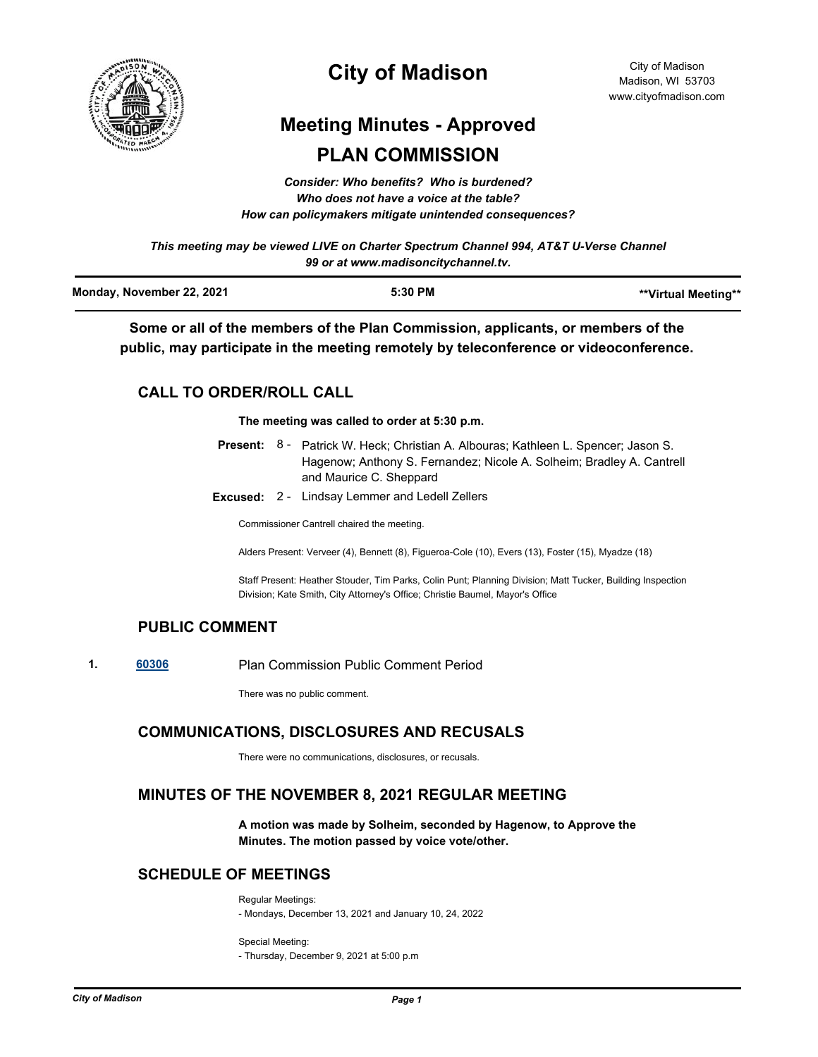

# **City of Madison**

# **Meeting Minutes - Approved PLAN COMMISSION**

*Consider: Who benefits? Who is burdened? Who does not have a voice at the table? How can policymakers mitigate unintended consequences?*

*This meeting may be viewed LIVE on Charter Spectrum Channel 994, AT&T U-Verse Channel 99 or at www.madisoncitychannel.tv.*

| Monday, November 22, 2021 | 5:30 PM | **Virtual Meeting** |
|---------------------------|---------|---------------------|
|                           |         |                     |

**Some or all of the members of the Plan Commission, applicants, or members of the public, may participate in the meeting remotely by teleconference or videoconference.**

# **CALL TO ORDER/ROLL CALL**

**The meeting was called to order at 5:30 p.m.**

|  | <b>Present:</b> 8 - Patrick W. Heck; Christian A. Albouras; Kathleen L. Spencer; Jason S. |  |  |
|--|-------------------------------------------------------------------------------------------|--|--|
|  | Hagenow; Anthony S. Fernandez; Nicole A. Solheim; Bradley A. Cantrell                     |  |  |
|  | and Maurice C. Sheppard                                                                   |  |  |

**Excused:** 2 - Lindsay Lemmer and Ledell Zellers

Commissioner Cantrell chaired the meeting.

Alders Present: Verveer (4), Bennett (8), Figueroa-Cole (10), Evers (13), Foster (15), Myadze (18)

Staff Present: Heather Stouder, Tim Parks, Colin Punt; Planning Division; Matt Tucker, Building Inspection Division; Kate Smith, City Attorney's Office; Christie Baumel, Mayor's Office

# **PUBLIC COMMENT**

**1. [60306](http://madison.legistar.com/gateway.aspx?m=l&id=/matter.aspx?key=71173)** Plan Commission Public Comment Period

There was no public comment.

# **COMMUNICATIONS, DISCLOSURES AND RECUSALS**

There were no communications, disclosures, or recusals.

# **MINUTES OF THE NOVEMBER 8, 2021 REGULAR MEETING**

**A motion was made by Solheim, seconded by Hagenow, to Approve the Minutes. The motion passed by voice vote/other.**

# **SCHEDULE OF MEETINGS**

Regular Meetings: - Mondays, December 13, 2021 and January 10, 24, 2022

Special Meeting: - Thursday, December 9, 2021 at 5:00 p.m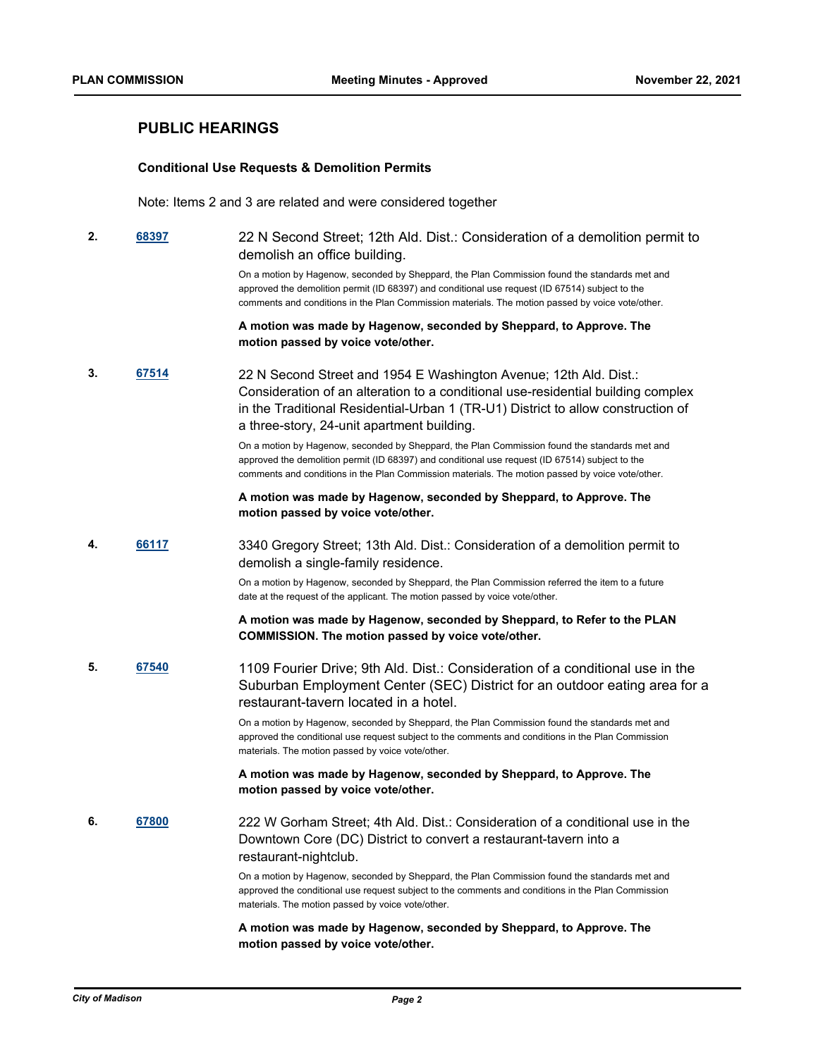# **PUBLIC HEARINGS**

#### **Conditional Use Requests & Demolition Permits**

Note: Items 2 and 3 are related and were considered together

**2. [68397](http://madison.legistar.com/gateway.aspx?m=l&id=/matter.aspx?key=80086)** 22 N Second Street; 12th Ald. Dist.: Consideration of a demolition permit to demolish an office building.

> On a motion by Hagenow, seconded by Sheppard, the Plan Commission found the standards met and approved the demolition permit (ID 68397) and conditional use request (ID 67514) subject to the comments and conditions in the Plan Commission materials. The motion passed by voice vote/other.

### **A motion was made by Hagenow, seconded by Sheppard, to Approve. The motion passed by voice vote/other.**

**3. [67514](http://madison.legistar.com/gateway.aspx?m=l&id=/matter.aspx?key=79406)** 22 N Second Street and 1954 E Washington Avenue; 12th Ald. Dist.: Consideration of an alteration to a conditional use-residential building complex in the Traditional Residential-Urban 1 (TR-U1) District to allow construction of a three-story, 24-unit apartment building.

> On a motion by Hagenow, seconded by Sheppard, the Plan Commission found the standards met and approved the demolition permit (ID 68397) and conditional use request (ID 67514) subject to the comments and conditions in the Plan Commission materials. The motion passed by voice vote/other.

### **A motion was made by Hagenow, seconded by Sheppard, to Approve. The motion passed by voice vote/other.**

**4. [66117](http://madison.legistar.com/gateway.aspx?m=l&id=/matter.aspx?key=78283)** 3340 Gregory Street; 13th Ald. Dist.: Consideration of a demolition permit to demolish a single-family residence.

> On a motion by Hagenow, seconded by Sheppard, the Plan Commission referred the item to a future date at the request of the applicant. The motion passed by voice vote/other.

**A motion was made by Hagenow, seconded by Sheppard, to Refer to the PLAN COMMISSION. The motion passed by voice vote/other.**

**5. [67540](http://madison.legistar.com/gateway.aspx?m=l&id=/matter.aspx?key=79417)** 1109 Fourier Drive; 9th Ald. Dist.: Consideration of a conditional use in the Suburban Employment Center (SEC) District for an outdoor eating area for a restaurant-tavern located in a hotel.

> On a motion by Hagenow, seconded by Sheppard, the Plan Commission found the standards met and approved the conditional use request subject to the comments and conditions in the Plan Commission materials. The motion passed by voice vote/other.

### **A motion was made by Hagenow, seconded by Sheppard, to Approve. The motion passed by voice vote/other.**

**6. [67800](http://madison.legistar.com/gateway.aspx?m=l&id=/matter.aspx?key=79616)** 222 W Gorham Street; 4th Ald. Dist.: Consideration of a conditional use in the Downtown Core (DC) District to convert a restaurant-tavern into a restaurant-nightclub.

> On a motion by Hagenow, seconded by Sheppard, the Plan Commission found the standards met and approved the conditional use request subject to the comments and conditions in the Plan Commission materials. The motion passed by voice vote/other.

#### **A motion was made by Hagenow, seconded by Sheppard, to Approve. The motion passed by voice vote/other.**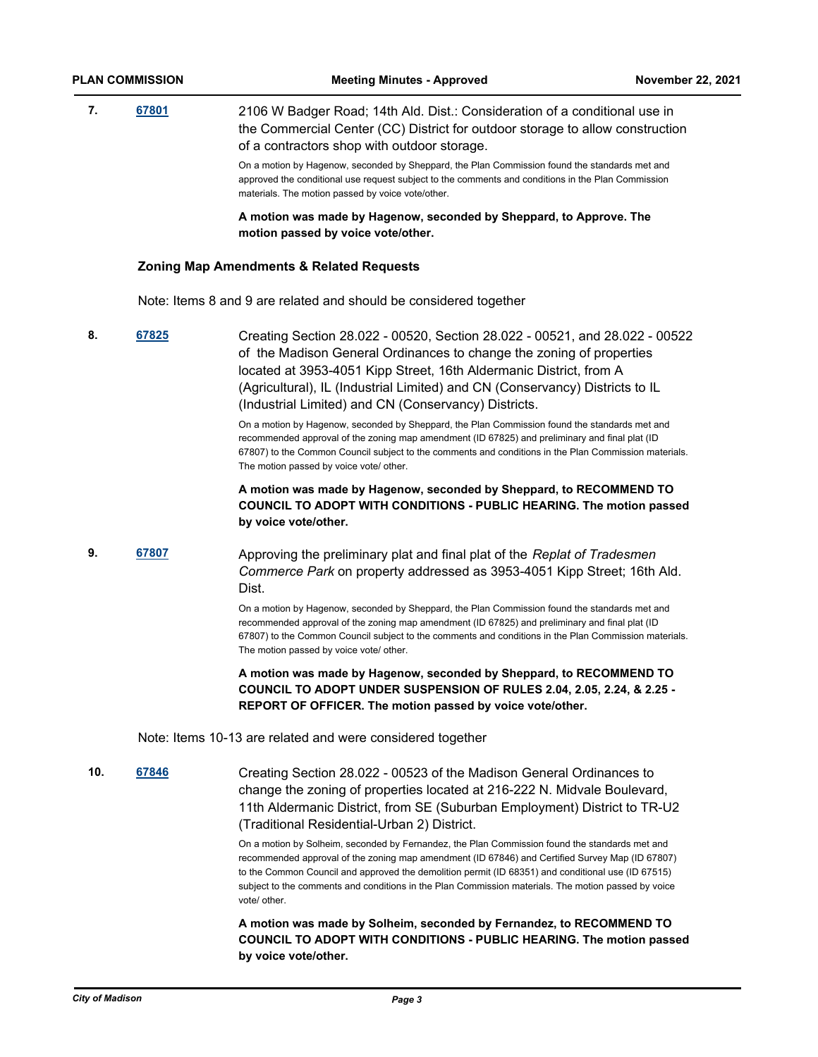# **7. [67801](http://madison.legistar.com/gateway.aspx?m=l&id=/matter.aspx?key=79617)** 2106 W Badger Road; 14th Ald. Dist.: Consideration of a conditional use in the Commercial Center (CC) District for outdoor storage to allow construction of a contractors shop with outdoor storage. On a motion by Hagenow, seconded by Sheppard, the Plan Commission found the standards met and approved the conditional use request subject to the comments and conditions in the Plan Commission materials. The motion passed by voice vote/other.

**A motion was made by Hagenow, seconded by Sheppard, to Approve. The motion passed by voice vote/other.**

#### **Zoning Map Amendments & Related Requests**

Note: Items 8 and 9 are related and should be considered together

**8. [67825](http://madison.legistar.com/gateway.aspx?m=l&id=/matter.aspx?key=79636)** Creating Section 28.022 - 00520, Section 28.022 - 00521, and 28.022 - 00522 of the Madison General Ordinances to change the zoning of properties located at 3953-4051 Kipp Street, 16th Aldermanic District, from A (Agricultural), IL (Industrial Limited) and CN (Conservancy) Districts to IL (Industrial Limited) and CN (Conservancy) Districts.

> On a motion by Hagenow, seconded by Sheppard, the Plan Commission found the standards met and recommended approval of the zoning map amendment (ID 67825) and preliminary and final plat (ID 67807) to the Common Council subject to the comments and conditions in the Plan Commission materials. The motion passed by voice vote/ other.

# **A motion was made by Hagenow, seconded by Sheppard, to RECOMMEND TO COUNCIL TO ADOPT WITH CONDITIONS - PUBLIC HEARING. The motion passed by voice vote/other.**

# **9. [67807](http://madison.legistar.com/gateway.aspx?m=l&id=/matter.aspx?key=79623)** Approving the preliminary plat and final plat of the *Replat of Tradesmen Commerce Park* on property addressed as 3953-4051 Kipp Street; 16th Ald. Dist.

On a motion by Hagenow, seconded by Sheppard, the Plan Commission found the standards met and recommended approval of the zoning map amendment (ID 67825) and preliminary and final plat (ID 67807) to the Common Council subject to the comments and conditions in the Plan Commission materials. The motion passed by voice vote/ other.

**A motion was made by Hagenow, seconded by Sheppard, to RECOMMEND TO COUNCIL TO ADOPT UNDER SUSPENSION OF RULES 2.04, 2.05, 2.24, & 2.25 - REPORT OF OFFICER. The motion passed by voice vote/other.**

Note: Items 10-13 are related and were considered together

**10. [67846](http://madison.legistar.com/gateway.aspx?m=l&id=/matter.aspx?key=79652)** Creating Section 28.022 - 00523 of the Madison General Ordinances to change the zoning of properties located at 216-222 N. Midvale Boulevard, 11th Aldermanic District, from SE (Suburban Employment) District to TR-U2 (Traditional Residential-Urban 2) District.

> On a motion by Solheim, seconded by Fernandez, the Plan Commission found the standards met and recommended approval of the zoning map amendment (ID 67846) and Certified Survey Map (ID 67807) to the Common Council and approved the demolition permit (ID 68351) and conditional use (ID 67515) subject to the comments and conditions in the Plan Commission materials. The motion passed by voice vote/ other.

**A motion was made by Solheim, seconded by Fernandez, to RECOMMEND TO COUNCIL TO ADOPT WITH CONDITIONS - PUBLIC HEARING. The motion passed by voice vote/other.**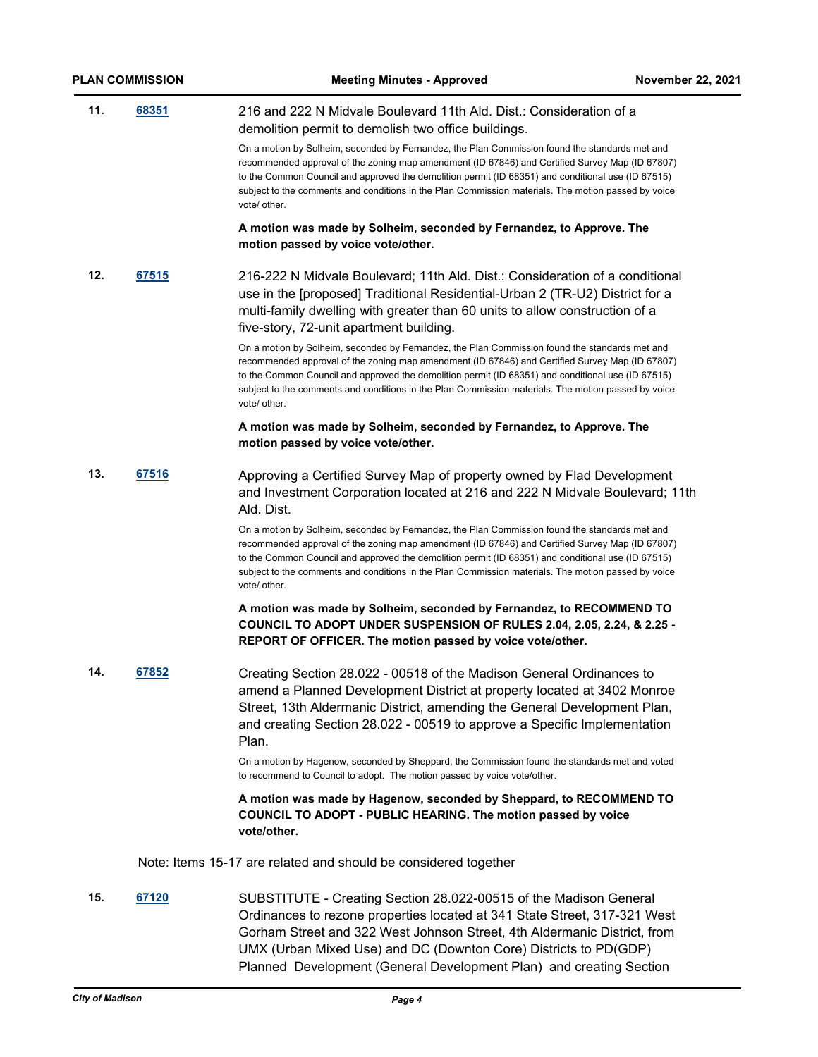| <b>PLAN COMMISSION</b> |       | <b>Meeting Minutes - Approved</b>                                                                                                                                                                                                                                                                                                                                                                                              | <b>November 22, 2021</b> |
|------------------------|-------|--------------------------------------------------------------------------------------------------------------------------------------------------------------------------------------------------------------------------------------------------------------------------------------------------------------------------------------------------------------------------------------------------------------------------------|--------------------------|
| 11.                    | 68351 | 216 and 222 N Midvale Boulevard 11th Ald. Dist.: Consideration of a<br>demolition permit to demolish two office buildings.                                                                                                                                                                                                                                                                                                     |                          |
|                        |       | On a motion by Solheim, seconded by Fernandez, the Plan Commission found the standards met and<br>recommended approval of the zoning map amendment (ID 67846) and Certified Survey Map (ID 67807)<br>to the Common Council and approved the demolition permit (ID 68351) and conditional use (ID 67515)<br>subject to the comments and conditions in the Plan Commission materials. The motion passed by voice<br>vote/ other. |                          |
|                        |       | A motion was made by Solheim, seconded by Fernandez, to Approve. The<br>motion passed by voice vote/other.                                                                                                                                                                                                                                                                                                                     |                          |
| 12.                    | 67515 | 216-222 N Midvale Boulevard; 11th Ald. Dist.: Consideration of a conditional<br>use in the [proposed] Traditional Residential-Urban 2 (TR-U2) District for a<br>multi-family dwelling with greater than 60 units to allow construction of a<br>five-story, 72-unit apartment building.                                                                                                                                         |                          |
|                        |       | On a motion by Solheim, seconded by Fernandez, the Plan Commission found the standards met and<br>recommended approval of the zoning map amendment (ID 67846) and Certified Survey Map (ID 67807)<br>to the Common Council and approved the demolition permit (ID 68351) and conditional use (ID 67515)<br>subject to the comments and conditions in the Plan Commission materials. The motion passed by voice<br>vote/ other. |                          |
|                        |       | A motion was made by Solheim, seconded by Fernandez, to Approve. The<br>motion passed by voice vote/other.                                                                                                                                                                                                                                                                                                                     |                          |
| 13.                    | 67516 | Approving a Certified Survey Map of property owned by Flad Development<br>and Investment Corporation located at 216 and 222 N Midvale Boulevard; 11th<br>Ald. Dist.                                                                                                                                                                                                                                                            |                          |
|                        |       | On a motion by Solheim, seconded by Fernandez, the Plan Commission found the standards met and<br>recommended approval of the zoning map amendment (ID 67846) and Certified Survey Map (ID 67807)<br>to the Common Council and approved the demolition permit (ID 68351) and conditional use (ID 67515)<br>subject to the comments and conditions in the Plan Commission materials. The motion passed by voice<br>vote/ other. |                          |
|                        |       | A motion was made by Solheim, seconded by Fernandez, to RECOMMEND TO<br>COUNCIL TO ADOPT UNDER SUSPENSION OF RULES 2.04, 2.05, 2.24, & 2.25 -<br>REPORT OF OFFICER. The motion passed by voice vote/other.                                                                                                                                                                                                                     |                          |
| 14.                    | 67852 | Creating Section 28.022 - 00518 of the Madison General Ordinances to<br>amend a Planned Development District at property located at 3402 Monroe<br>Street, 13th Aldermanic District, amending the General Development Plan,<br>and creating Section 28.022 - 00519 to approve a Specific Implementation<br>Plan.                                                                                                               |                          |
|                        |       | On a motion by Hagenow, seconded by Sheppard, the Commission found the standards met and voted<br>to recommend to Council to adopt. The motion passed by voice vote/other.                                                                                                                                                                                                                                                     |                          |
|                        |       | A motion was made by Hagenow, seconded by Sheppard, to RECOMMEND TO<br>COUNCIL TO ADOPT - PUBLIC HEARING. The motion passed by voice<br>vote/other.                                                                                                                                                                                                                                                                            |                          |
|                        |       | Note: Items 15-17 are related and should be considered together                                                                                                                                                                                                                                                                                                                                                                |                          |
| 15.                    | 67120 | SUBSTITUTE - Creating Section 28.022-00515 of the Madison General<br>Ordinances to rezone properties located at 341 State Street, 317-321 West<br>Gorham Street and 322 West Johnson Street, 4th Aldermanic District, from<br>UMX (Urban Mixed Use) and DC (Downton Core) Districts to PD(GDP)                                                                                                                                 |                          |

Planned Development (General Development Plan) and creating Section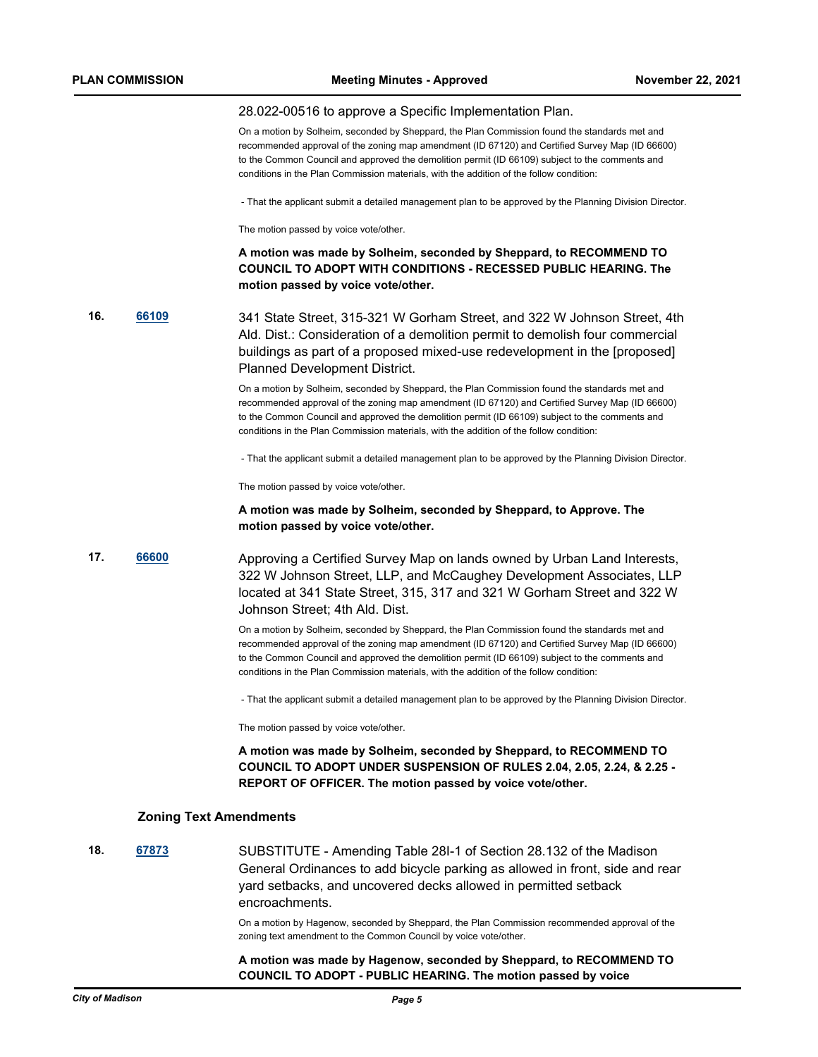#### 28.022-00516 to approve a Specific Implementation Plan.

On a motion by Solheim, seconded by Sheppard, the Plan Commission found the standards met and recommended approval of the zoning map amendment (ID 67120) and Certified Survey Map (ID 66600) to the Common Council and approved the demolition permit (ID 66109) subject to the comments and conditions in the Plan Commission materials, with the addition of the follow condition:

- That the applicant submit a detailed management plan to be approved by the Planning Division Director.

The motion passed by voice vote/other.

## **A motion was made by Solheim, seconded by Sheppard, to RECOMMEND TO COUNCIL TO ADOPT WITH CONDITIONS - RECESSED PUBLIC HEARING. The motion passed by voice vote/other.**

**16. [66109](http://madison.legistar.com/gateway.aspx?m=l&id=/matter.aspx?key=78275)** 341 State Street, 315-321 W Gorham Street, and 322 W Johnson Street, 4th Ald. Dist.: Consideration of a demolition permit to demolish four commercial buildings as part of a proposed mixed-use redevelopment in the [proposed] Planned Development District.

> On a motion by Solheim, seconded by Sheppard, the Plan Commission found the standards met and recommended approval of the zoning map amendment (ID 67120) and Certified Survey Map (ID 66600) to the Common Council and approved the demolition permit (ID 66109) subject to the comments and conditions in the Plan Commission materials, with the addition of the follow condition:

- That the applicant submit a detailed management plan to be approved by the Planning Division Director.

The motion passed by voice vote/other.

#### **A motion was made by Solheim, seconded by Sheppard, to Approve. The motion passed by voice vote/other.**

**17. [66600](http://madison.legistar.com/gateway.aspx?m=l&id=/matter.aspx?key=78694)** Approving a Certified Survey Map on lands owned by Urban Land Interests, 322 W Johnson Street, LLP, and McCaughey Development Associates, LLP located at 341 State Street, 315, 317 and 321 W Gorham Street and 322 W Johnson Street; 4th Ald. Dist.

> On a motion by Solheim, seconded by Sheppard, the Plan Commission found the standards met and recommended approval of the zoning map amendment (ID 67120) and Certified Survey Map (ID 66600) to the Common Council and approved the demolition permit (ID 66109) subject to the comments and conditions in the Plan Commission materials, with the addition of the follow condition:

- That the applicant submit a detailed management plan to be approved by the Planning Division Director.

The motion passed by voice vote/other.

**A motion was made by Solheim, seconded by Sheppard, to RECOMMEND TO COUNCIL TO ADOPT UNDER SUSPENSION OF RULES 2.04, 2.05, 2.24, & 2.25 - REPORT OF OFFICER. The motion passed by voice vote/other.**

#### **Zoning Text Amendments**

**18. [67873](http://madison.legistar.com/gateway.aspx?m=l&id=/matter.aspx?key=79674)** SUBSTITUTE - Amending Table 28I-1 of Section 28.132 of the Madison General Ordinances to add bicycle parking as allowed in front, side and rear yard setbacks, and uncovered decks allowed in permitted setback encroachments.

> On a motion by Hagenow, seconded by Sheppard, the Plan Commission recommended approval of the zoning text amendment to the Common Council by voice vote/other.

### **A motion was made by Hagenow, seconded by Sheppard, to RECOMMEND TO COUNCIL TO ADOPT - PUBLIC HEARING. The motion passed by voice**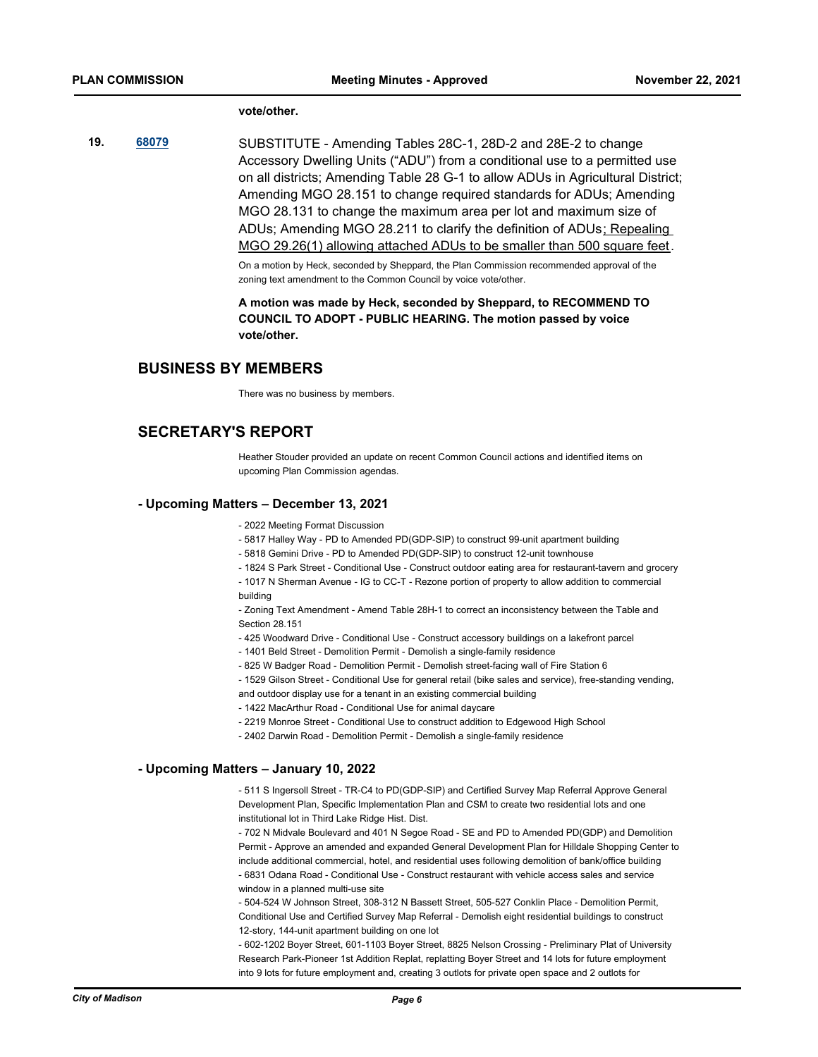#### **vote/other.**

**19. [68079](http://madison.legistar.com/gateway.aspx?m=l&id=/matter.aspx?key=79846)** SUBSTITUTE - Amending Tables 28C-1, 28D-2 and 28E-2 to change Accessory Dwelling Units ("ADU") from a conditional use to a permitted use on all districts; Amending Table 28 G-1 to allow ADUs in Agricultural District; Amending MGO 28.151 to change required standards for ADUs; Amending MGO 28.131 to change the maximum area per lot and maximum size of ADUs; Amending MGO 28.211 to clarify the definition of ADUs; Repealing MGO 29.26(1) allowing attached ADUs to be smaller than 500 square feet.

> On a motion by Heck, seconded by Sheppard, the Plan Commission recommended approval of the zoning text amendment to the Common Council by voice vote/other.

**A motion was made by Heck, seconded by Sheppard, to RECOMMEND TO COUNCIL TO ADOPT - PUBLIC HEARING. The motion passed by voice vote/other.**

# **BUSINESS BY MEMBERS**

There was no business by members.

# **SECRETARY'S REPORT**

Heather Stouder provided an update on recent Common Council actions and identified items on upcoming Plan Commission agendas.

#### **- Upcoming Matters – December 13, 2021**

- 2022 Meeting Format Discussion

- 5817 Halley Way - PD to Amended PD(GDP-SIP) to construct 99-unit apartment building

- 5818 Gemini Drive - PD to Amended PD(GDP-SIP) to construct 12-unit townhouse

- 1824 S Park Street - Conditional Use - Construct outdoor eating area for restaurant-tavern and grocery

- 1017 N Sherman Avenue - IG to CC-T - Rezone portion of property to allow addition to commercial building

- Zoning Text Amendment - Amend Table 28H-1 to correct an inconsistency between the Table and Section 28.151

- 425 Woodward Drive - Conditional Use - Construct accessory buildings on a lakefront parcel

- 1401 Beld Street - Demolition Permit - Demolish a single-family residence

- 825 W Badger Road - Demolition Permit - Demolish street-facing wall of Fire Station 6

- 1529 Gilson Street - Conditional Use for general retail (bike sales and service), free-standing vending, and outdoor display use for a tenant in an existing commercial building

- 1422 MacArthur Road - Conditional Use for animal daycare

- 2219 Monroe Street Conditional Use to construct addition to Edgewood High School
- 2402 Darwin Road Demolition Permit Demolish a single-family residence

#### **- Upcoming Matters – January 10, 2022**

- 511 S Ingersoll Street - TR-C4 to PD(GDP-SIP) and Certified Survey Map Referral Approve General Development Plan, Specific Implementation Plan and CSM to create two residential lots and one institutional lot in Third Lake Ridge Hist. Dist.

- 702 N Midvale Boulevard and 401 N Segoe Road - SE and PD to Amended PD(GDP) and Demolition Permit - Approve an amended and expanded General Development Plan for Hilldale Shopping Center to include additional commercial, hotel, and residential uses following demolition of bank/office building - 6831 Odana Road - Conditional Use - Construct restaurant with vehicle access sales and service window in a planned multi-use site

- 504-524 W Johnson Street, 308-312 N Bassett Street, 505-527 Conklin Place - Demolition Permit, Conditional Use and Certified Survey Map Referral - Demolish eight residential buildings to construct 12-story, 144-unit apartment building on one lot

- 602-1202 Boyer Street, 601-1103 Boyer Street, 8825 Nelson Crossing - Preliminary Plat of University Research Park-Pioneer 1st Addition Replat, replatting Boyer Street and 14 lots for future employment into 9 lots for future employment and, creating 3 outlots for private open space and 2 outlots for